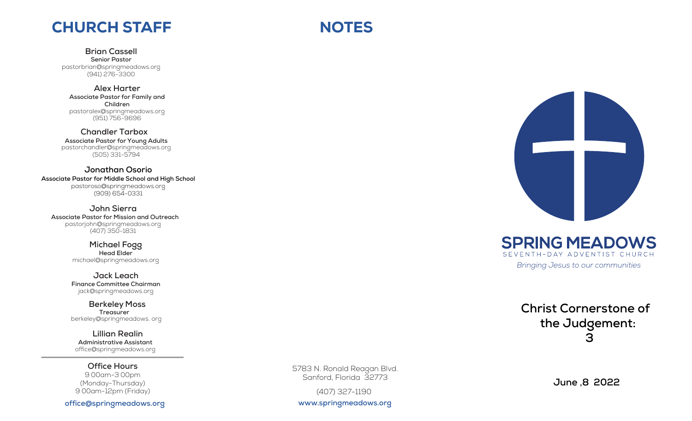## CHURCH STAFF

**Brian Cassell Senior Pastor**

pastorbrian@springmeadows.org (941) 276-3300

**Alex Harter Associate Pastor for Family and Children** pastor ale x@springmeadows.org (951) 756 -9696

**Chandler Tar b o x Associate Pastor for Young Adults** pastorchandler@springmeadows.org (505) 331-5794

**Jonathan Osorio Associate Pastor for Middle School and High School** pastoroso@springmeadows.org (909) 654-0331

**John Sierra Associate Pastor for Mission and Outreach** pastorjoh n@springmeadows.org (407) 350-1 831

> **Michael Fogg Head Elder** michael@springmeadows.org

**Finance Committee Chairman** jack@springmeadows.org

**Berkeley Moss**<br> **Berkeley Bergerican**<br> **Bergerican Realin**<br> **Bergerican Bergerican Constrant**<br> **Experiment Constrant**<br> **Experiment Constrant Treasurer Jack Leach**<br>
Finance Committee Chairman<br>
jack@springmeadows.org<br> **Berkeley Moss**<br>
Treasurer<br>
berkeley@springmeadows.org

**Lillian Realin Administrati ve Assistant** office@springmeadows.org

**Office Hours** 9 00am-3 00pm (Monday-Thursday) 9 0 0am-12pm (Friday)

**office @springmeado w s .org**

5783 N. Ronald Reagan Blvd. Sanford, Florida 32773

**NOTES** 

(407) 327-1190

**www.springmeadows.org**



**SPRING MEADOWS** SEVENTH-DAY ADVENTIST CHURCH

*Bringing Jesus to our communities*

**Christ Cornerstone of** 

**the Judgement: 3**